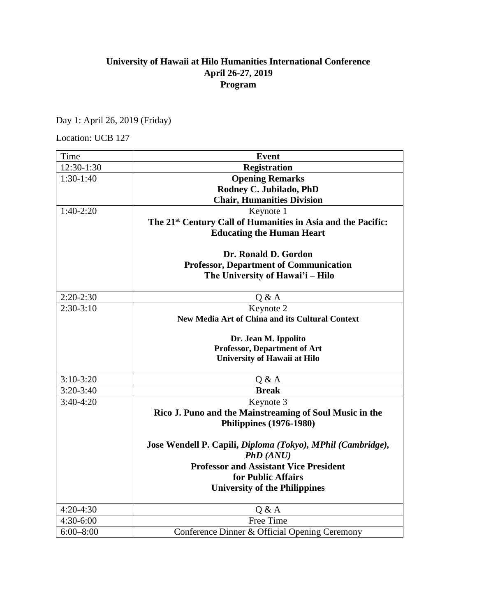## **University of Hawaii at Hilo Humanities International Conference April 26-27, 2019 Program**

Day 1: April 26, 2019 (Friday)

Location: UCB 127

| Time          | <b>Event</b>                                                               |  |
|---------------|----------------------------------------------------------------------------|--|
| 12:30-1:30    | <b>Registration</b>                                                        |  |
| $1:30-1:40$   | <b>Opening Remarks</b>                                                     |  |
|               | Rodney C. Jubilado, PhD                                                    |  |
|               | <b>Chair, Humanities Division</b>                                          |  |
| $1:40-2:20$   | Keynote 1                                                                  |  |
|               | The 21 <sup>st</sup> Century Call of Humanities in Asia and the Pacific:   |  |
|               | <b>Educating the Human Heart</b>                                           |  |
|               |                                                                            |  |
|               | Dr. Ronald D. Gordon                                                       |  |
|               | <b>Professor, Department of Communication</b>                              |  |
|               | The University of Hawai'i - Hilo                                           |  |
| $2:20-2:30$   | Q & A                                                                      |  |
| $2:30-3:10$   | Keynote 2                                                                  |  |
|               | <b>New Media Art of China and its Cultural Context</b>                     |  |
|               |                                                                            |  |
|               | Dr. Jean M. Ippolito                                                       |  |
|               | <b>Professor, Department of Art</b><br><b>University of Hawaii at Hilo</b> |  |
|               |                                                                            |  |
| $3:10-3:20$   | Q & A                                                                      |  |
| $3:20-3:40$   | <b>Break</b>                                                               |  |
| $3:40-4:20$   | Keynote 3                                                                  |  |
|               | Rico J. Puno and the Mainstreaming of Soul Music in the                    |  |
|               | <b>Philippines (1976-1980)</b>                                             |  |
|               |                                                                            |  |
|               | Jose Wendell P. Capili, Diploma (Tokyo), MPhil (Cambridge),                |  |
|               | PhD (ANU)                                                                  |  |
|               | <b>Professor and Assistant Vice President</b><br>for Public Affairs        |  |
|               |                                                                            |  |
|               | <b>University of the Philippines</b>                                       |  |
| $4:20-4:30$   | Q & A                                                                      |  |
| 4:30-6:00     | Free Time                                                                  |  |
| $6:00 - 8:00$ | Conference Dinner & Official Opening Ceremony                              |  |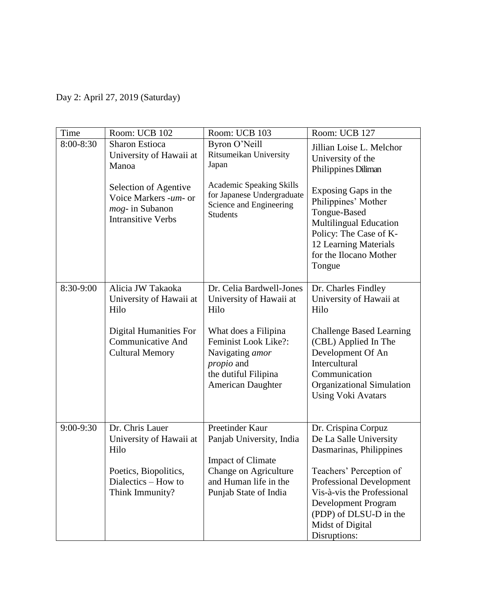Day 2: April 27, 2019 (Saturday)

| Time      | Room: UCB 102                                                                                  | Room: UCB 103                                                                                                                     | Room: UCB 127                                                                                                                                                                       |
|-----------|------------------------------------------------------------------------------------------------|-----------------------------------------------------------------------------------------------------------------------------------|-------------------------------------------------------------------------------------------------------------------------------------------------------------------------------------|
| 8:00-8:30 | <b>Sharon Estioca</b><br>University of Hawaii at<br>Manoa                                      | Byron O'Neill<br>Ritsumeikan University<br>Japan                                                                                  | Jillian Loise L. Melchor<br>University of the<br>Philippines Diliman                                                                                                                |
|           | Selection of Agentive<br>Voice Markers -um- or<br>mog- in Subanon<br><b>Intransitive Verbs</b> | <b>Academic Speaking Skills</b><br>for Japanese Undergraduate<br>Science and Engineering<br><b>Students</b>                       | Exposing Gaps in the<br>Philippines' Mother<br>Tongue-Based<br><b>Multilingual Education</b><br>Policy: The Case of K-<br>12 Learning Materials<br>for the Ilocano Mother<br>Tongue |
| 8:30-9:00 | Alicia JW Takaoka<br>University of Hawaii at<br>Hilo                                           | Dr. Celia Bardwell-Jones<br>University of Hawaii at<br>Hilo                                                                       | Dr. Charles Findley<br>University of Hawaii at<br>Hilo                                                                                                                              |
|           | <b>Digital Humanities For</b><br><b>Communicative And</b><br><b>Cultural Memory</b>            | What does a Filipina<br>Feminist Look Like?:<br>Navigating amor<br><i>propio</i> and<br>the dutiful Filipina<br>American Daughter | <b>Challenge Based Learning</b><br>(CBL) Applied In The<br>Development Of An<br>Intercultural<br>Communication<br><b>Organizational Simulation</b><br><b>Using Voki Avatars</b>     |
| 9:00-9:30 | Dr. Chris Lauer<br>University of Hawaii at<br>Hilo                                             | Preetinder Kaur<br>Panjab University, India<br><b>Impact of Climate</b>                                                           | Dr. Crispina Corpuz<br>De La Salle University<br>Dasmarinas, Philippines                                                                                                            |
|           | Poetics, Biopolitics,<br>Dialectics – How to<br>Think Immunity?                                | Change on Agriculture<br>and Human life in the<br>Punjab State of India                                                           | Teachers' Perception of<br><b>Professional Development</b><br>Vis-à-vis the Professional<br>Development Program<br>(PDP) of DLSU-D in the<br>Midst of Digital<br>Disruptions:       |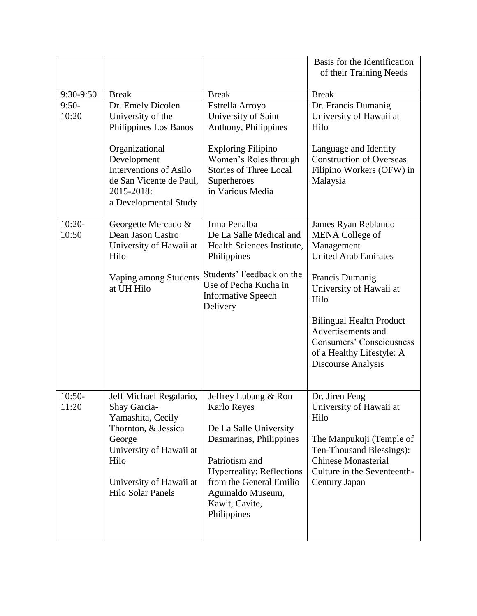|           |                          |                                  | Basis for the Identification<br>of their Training Needs |
|-----------|--------------------------|----------------------------------|---------------------------------------------------------|
| 9:30-9:50 | <b>Break</b>             | <b>Break</b>                     | <b>Break</b>                                            |
| $9:50-$   | Dr. Emely Dicolen        | Estrella Arroyo                  | Dr. Francis Dumanig                                     |
| 10:20     | University of the        | University of Saint              | University of Hawaii at                                 |
|           | Philippines Los Banos    | Anthony, Philippines             | Hilo                                                    |
|           |                          |                                  |                                                         |
|           | Organizational           | <b>Exploring Filipino</b>        | Language and Identity                                   |
|           | Development              | Women's Roles through            | <b>Construction of Overseas</b>                         |
|           | Interventions of Asilo   | <b>Stories of Three Local</b>    | Filipino Workers (OFW) in                               |
|           | de San Vicente de Paul,  | Superheroes                      | Malaysia                                                |
|           | 2015-2018:               | in Various Media                 |                                                         |
|           | a Developmental Study    |                                  |                                                         |
|           |                          |                                  |                                                         |
| $10:20-$  | Georgette Mercado &      | Irma Penalba                     | James Ryan Reblando                                     |
| 10:50     | Dean Jason Castro        | De La Salle Medical and          | <b>MENA</b> College of                                  |
|           | University of Hawaii at  | Health Sciences Institute,       | Management                                              |
|           | Hilo                     | Philippines                      | <b>United Arab Emirates</b>                             |
|           |                          | Students' Feedback on the        |                                                         |
|           | Vaping among Students    | Use of Pecha Kucha in            | Francis Dumanig                                         |
|           | at UH Hilo               | <b>Informative Speech</b>        | University of Hawaii at                                 |
|           |                          | Delivery                         | Hilo                                                    |
|           |                          |                                  |                                                         |
|           |                          |                                  | <b>Bilingual Health Product</b>                         |
|           |                          |                                  | Advertisements and                                      |
|           |                          |                                  | <b>Consumers' Consciousness</b>                         |
|           |                          |                                  | of a Healthy Lifestyle: A                               |
|           |                          |                                  | Discourse Analysis                                      |
|           |                          |                                  |                                                         |
| $10:50-$  | Jeff Michael Regalario,  | Jeffrey Lubang & Ron             | Dr. Jiren Feng                                          |
| 11:20     | Shay Garcia-             | Karlo Reyes                      | University of Hawaii at                                 |
|           | Yamashita, Cecily        |                                  | Hilo                                                    |
|           | Thornton, & Jessica      | De La Salle University           |                                                         |
|           | George                   | Dasmarinas, Philippines          | The Manpukuji (Temple of                                |
|           | University of Hawaii at  |                                  | Ten-Thousand Blessings):                                |
|           | Hilo                     | Patriotism and                   | <b>Chinese Monasterial</b>                              |
|           |                          | <b>Hyperreality: Reflections</b> | Culture in the Seventeenth-                             |
|           | University of Hawaii at  | from the General Emilio          | Century Japan                                           |
|           | <b>Hilo Solar Panels</b> | Aguinaldo Museum,                |                                                         |
|           |                          | Kawit, Cavite,                   |                                                         |
|           |                          | Philippines                      |                                                         |
|           |                          |                                  |                                                         |
|           |                          |                                  |                                                         |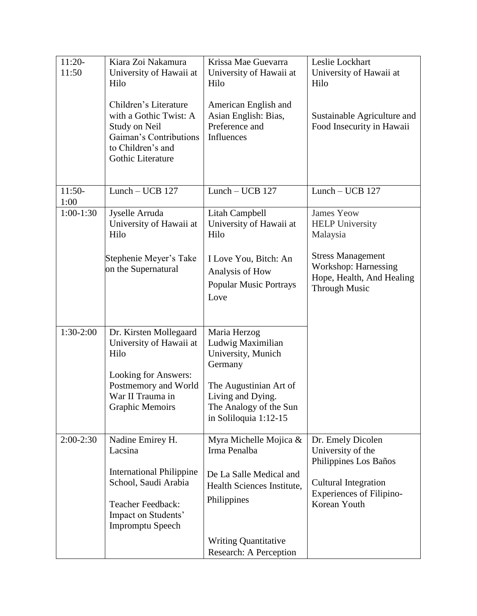| $11:20-$<br>11:50 | Kiara Zoi Nakamura<br>University of Hawaii at<br>Hilo<br>Children's Literature<br>with a Gothic Twist: A<br>Study on Neil<br>Gaiman's Contributions<br>to Children's and<br>Gothic Literature | Krissa Mae Guevarra<br>University of Hawaii at<br>Hilo<br>American English and<br>Asian English: Bias,<br>Preference and<br>Influences                               | Leslie Lockhart<br>University of Hawaii at<br>Hilo<br>Sustainable Agriculture and<br>Food Insecurity in Hawaii |
|-------------------|-----------------------------------------------------------------------------------------------------------------------------------------------------------------------------------------------|----------------------------------------------------------------------------------------------------------------------------------------------------------------------|----------------------------------------------------------------------------------------------------------------|
| $11:50-$<br>1:00  | Lunch $-$ UCB 127                                                                                                                                                                             | Lunch - UCB 127                                                                                                                                                      | Lunch - UCB 127                                                                                                |
| $1:00-1:30$       | Jyselle Arruda<br>University of Hawaii at<br>Hilo                                                                                                                                             | Litah Campbell<br>University of Hawaii at<br>Hilo                                                                                                                    | <b>James Yeow</b><br><b>HELP University</b><br>Malaysia                                                        |
|                   | Stephenie Meyer's Take<br>on the Supernatural                                                                                                                                                 | I Love You, Bitch: An<br>Analysis of How<br><b>Popular Music Portrays</b><br>Love                                                                                    | <b>Stress Management</b><br>Workshop: Harnessing<br>Hope, Health, And Healing<br><b>Through Music</b>          |
| $1:30-2:00$       | Dr. Kirsten Mollegaard<br>University of Hawaii at<br>Hilo<br>Looking for Answers:<br>Postmemory and World<br>War II Trauma in<br><b>Graphic Memoirs</b>                                       | Maria Herzog<br>Ludwig Maximilian<br>University, Munich<br>Germany<br>The Augustinian Art of<br>Living and Dying.<br>The Analogy of the Sun<br>in Soliloquia 1:12-15 |                                                                                                                |
| $2:00-2:30$       | Nadine Emirey H.                                                                                                                                                                              | Myra Michelle Mojica &                                                                                                                                               | Dr. Emely Dicolen                                                                                              |
|                   | Lacsina                                                                                                                                                                                       | Irma Penalba                                                                                                                                                         | University of the<br>Philippines Los Baños                                                                     |
|                   | <b>International Philippine</b><br>School, Saudi Arabia<br>Teacher Feedback:<br>Impact on Students'<br><b>Impromptu Speech</b>                                                                | De La Salle Medical and<br>Health Sciences Institute,<br>Philippines<br><b>Writing Quantitative</b>                                                                  | <b>Cultural Integration</b><br><b>Experiences of Filipino-</b><br>Korean Youth                                 |
|                   |                                                                                                                                                                                               | Research: A Perception                                                                                                                                               |                                                                                                                |